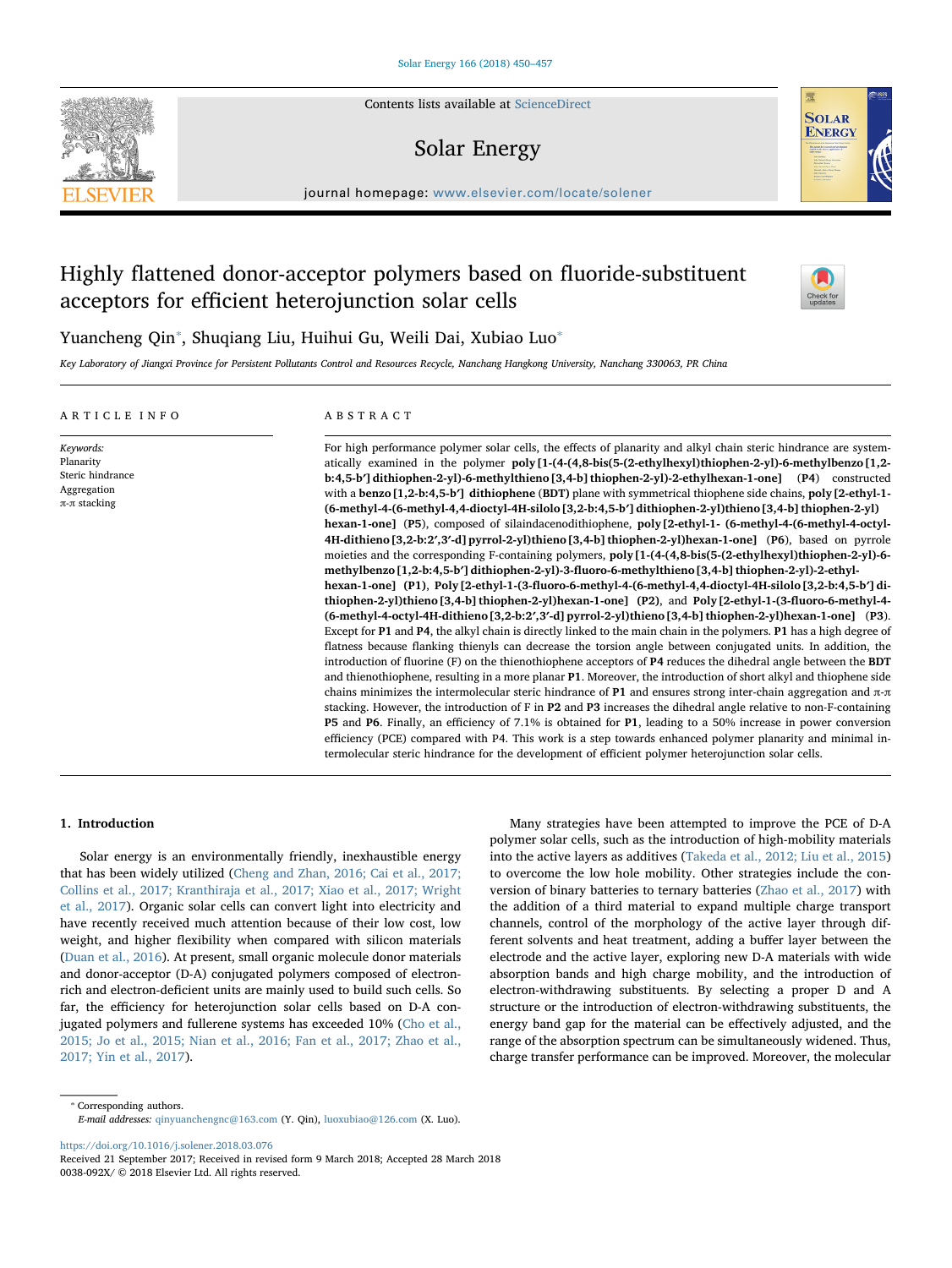



journal homepage: [www.elsevier.com/locate/solener](https://www.elsevier.com/locate/solener)

# Highly flattened donor-acceptor polymers based on fluoride-substituent acceptors for efficient heterojunction solar cells



Yuancheng Qin<sup>\*</sup>, Shuqiang Liu, Huihui Gu, Weili Dai, Xubiao Luo<sup>\*</sup>

Key Laboratory of Jiangxi Province for Persistent Pollutants Control and Resources Recycle, Nanchang Hangkong University, Nanchang 330063, PR China

#### ARTICLE INFO Keywords: Planarity Steric hindrance Aggregation π-π stacking ABSTRACT For high performance polymer solar cells, the effects of planarity and alkyl chain steric hindrance are systematically examined in the polymer poly[1-(4-(4,8-bis(5-(2-ethylhexyl)thiophen-2-yl)-6-methylbenzo[1,2 b:4,5-b′]dithiophen-2-yl)-6-methylthieno[3,4-b]thiophen-2-yl)-2-ethylhexan-1-one] (P4) constructed with a benzo [1,2-b:4,5-b'] dithiophene (BDT) plane with symmetrical thiophene side chains, poly [2-ethyl-1-(6-methyl-4-(6-methyl-4,4-dioctyl-4H-silolo[3,2-b:4,5-b′]dithiophen-2-yl)thieno[3,4-b]thiophen-2-yl) hexan-1-one] (P5), composed of silaindacenodithiophene, poly[2-ethyl-1- (6-methyl-4-(6-methyl-4-octyl-4H-dithieno[3,2-b:2′,3′-d]pyrrol-2-yl)thieno[3,4-b]thiophen-2-yl)hexan-1-one] (P6), based on pyrrole moieties and the corresponding F-containing polymers, poly[1-(4-(4,8-bis(5-(2-ethylhexyl)thiophen-2-yl)-6 methylbenzo[1,2-b:4,5-b′]dithiophen-2-yl)-3-fluoro-6-methylthieno[3,4-b]thiophen-2-yl)-2-ethylhexan-1-one] (P1), Poly[2-ethyl-1-(3-fluoro-6-methyl-4-(6-methyl-4,4-dioctyl-4H-silolo[3,2-b:4,5-b′]dithiophen-2-yl)thieno[3,4-b]thiophen-2-yl)hexan-1-one] (P2), and Poly[2-ethyl-1-(3-fluoro-6-methyl-4- (6-methyl-4-octyl-4H-dithieno[3,2-b:2′,3′-d]pyrrol-2-yl)thieno[3,4-b]thiophen-2-yl)hexan-1-one] (P3). Except for P1 and P4, the alkyl chain is directly linked to the main chain in the polymers. P1 has a high degree of flatness because flanking thienyls can decrease the torsion angle between conjugated units. In addition, the introduction of fluorine (F) on the thienothiophene acceptors of P4 reduces the dihedral angle between the BDT and thienothiophene, resulting in a more planar P1. Moreover, the introduction of short alkyl and thiophene side chains minimizes the intermolecular steric hindrance of P1 and ensures strong inter-chain aggregation and π-π stacking. However, the introduction of F in P2 and P3 increases the dihedral angle relative to non-F-containing P5 and P6. Finally, an efficiency of 7.1% is obtained for P1, leading to a 50% increase in power conversion efficiency (PCE) compared with P4. This work is a step towards enhanced polymer planarity and minimal intermolecular steric hindrance for the development of efficient polymer heterojunction solar cells.

# 1. Introduction

Solar energy is an environmentally friendly, inexhaustible energy that has been widely utilized (Cheng and Zhan, 2016; Cai et al., 2017; Collins et al., 2017; Kranthiraja et al., 2017; Xiao et al., 2017; Wright et al., 2017). Organic solar cells can convert light into electricity and have recently received much attention because of their low cost, low weight, and higher flexibility when compared with silicon materials (Duan et al., 2016). At present, small organic molecule donor materials and donor-acceptor (D-A) conjugated polymers composed of electronrich and electron-deficient units are mainly used to build such cells. So far, the efficiency for heterojunction solar cells based on D-A conjugated polymers and fullerene systems has exceeded 10% (Cho et al., 2015; Jo et al., 2015; Nian et al., 2016; Fan et al., 2017; Zhao et al., 2017; Yin et al., 2017).

Many strategies have been attempted to improve the PCE of D-A polymer solar cells, such as the introduction of high-mobility materials into the active layers as additives (Takeda et al., 2012; Liu et al., 2015) to overcome the low hole mobility. Other strategies include the conversion of binary batteries to ternary batteries (Zhao et al., 2017) with the addition of a third material to expand multiple charge transport channels, control of the morphology of the active layer through different solvents and heat treatment, adding a buffer layer between the electrode and the active layer, exploring new D-A materials with wide absorption bands and high charge mobility, and the introduction of electron-withdrawing substituents. By selecting a proper D and A structure or the introduction of electron-withdrawing substituents, the energy band gap for the material can be effectively adjusted, and the range of the absorption spectrum can be simultaneously widened. Thus, charge transfer performance can be improved. Moreover, the molecular

<https://doi.org/10.1016/j.solener.2018.03.076>

<sup>⁎</sup> Corresponding authors. E-mail addresses: [qinyuanchengnc@163.com](mailto:qinyuanchengnc@163.com) (Y. Qin), [luoxubiao@126.com](mailto:luoxubiao@126.com) (X. Luo).

Received 21 September 2017; Received in revised form 9 March 2018; Accepted 28 March 2018 0038-092X/ © 2018 Elsevier Ltd. All rights reserved.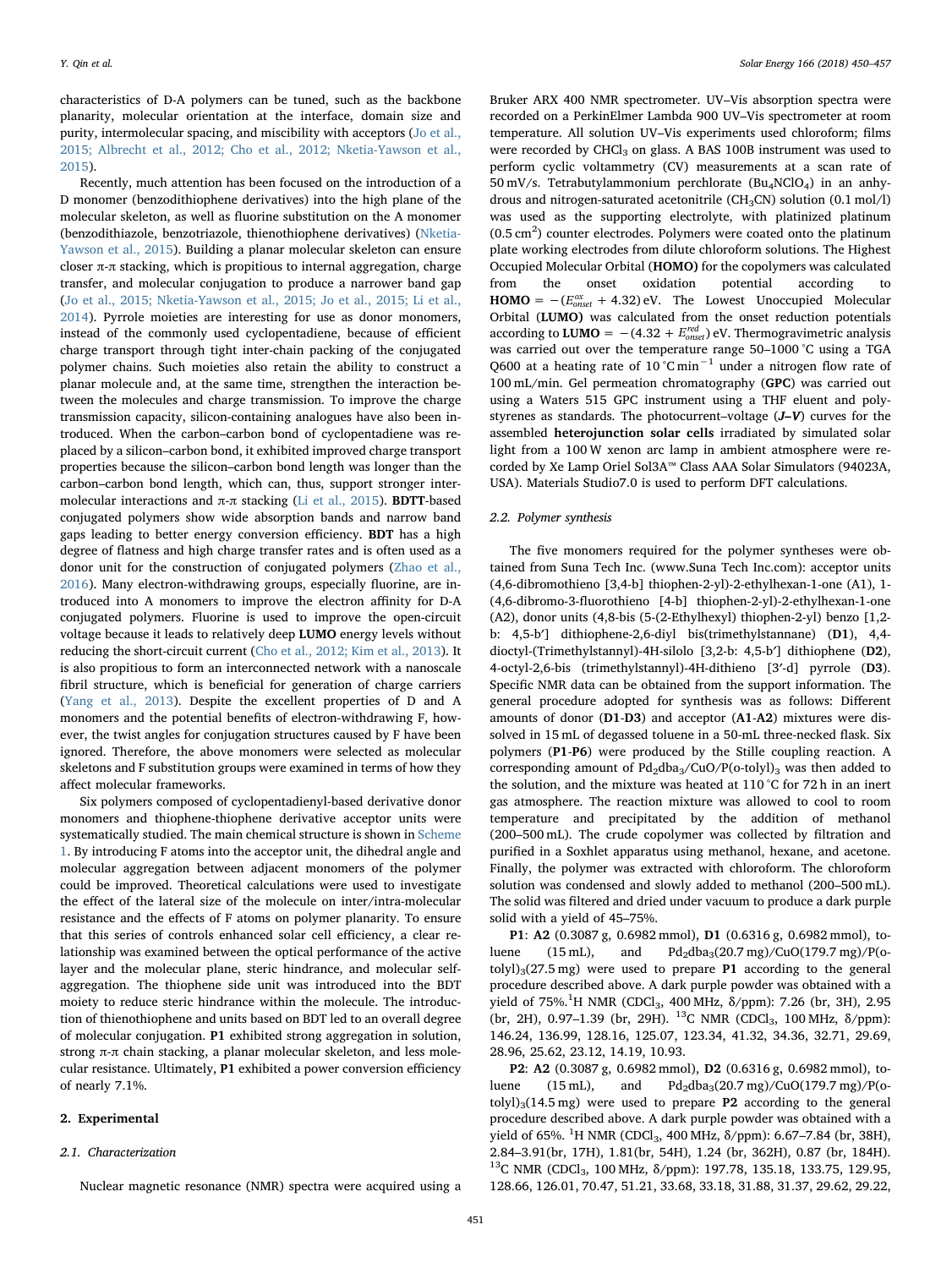characteristics of D-A polymers can be tuned, such as the backbone planarity, molecular orientation at the interface, domain size and purity, intermolecular spacing, and miscibility with acceptors (Jo et al., 2015; Albrecht et al., 2012; Cho et al., 2012; Nketia-Yawson et al., 2015).

Recently, much attention has been focused on the introduction of a D monomer (benzodithiophene derivatives) into the high plane of the molecular skeleton, as well as fluorine substitution on the A monomer (benzodithiazole, benzotriazole, thienothiophene derivatives) (Nketia-Yawson et al., 2015). Building a planar molecular skeleton can ensure closer  $\pi$ - $\pi$  stacking, which is propitious to internal aggregation, charge transfer, and molecular conjugation to produce a narrower band gap (Jo et al., 2015; Nketia-Yawson et al., 2015; Jo et al., 2015; Li et al., 2014). Pyrrole moieties are interesting for use as donor monomers, instead of the commonly used cyclopentadiene, because of efficient charge transport through tight inter-chain packing of the conjugated polymer chains. Such moieties also retain the ability to construct a planar molecule and, at the same time, strengthen the interaction between the molecules and charge transmission. To improve the charge transmission capacity, silicon-containing analogues have also been introduced. When the carbon–carbon bond of cyclopentadiene was replaced by a silicon–carbon bond, it exhibited improved charge transport properties because the silicon–carbon bond length was longer than the carbon–carbon bond length, which can, thus, support stronger intermolecular interactions and π-π stacking (Li et al., 2015). BDTT-based conjugated polymers show wide absorption bands and narrow band gaps leading to better energy conversion efficiency. BDT has a high degree of flatness and high charge transfer rates and is often used as a donor unit for the construction of conjugated polymers (Zhao et al., 2016). Many electron-withdrawing groups, especially fluorine, are introduced into A monomers to improve the electron affinity for D-A conjugated polymers. Fluorine is used to improve the open-circuit voltage because it leads to relatively deep LUMO energy levels without reducing the short-circuit current (Cho et al., 2012; Kim et al., 2013). It is also propitious to form an interconnected network with a nanoscale fibril structure, which is beneficial for generation of charge carriers (Yang et al., 2013). Despite the excellent properties of D and A monomers and the potential benefits of electron-withdrawing F, however, the twist angles for conjugation structures caused by F have been ignored. Therefore, the above monomers were selected as molecular skeletons and F substitution groups were examined in terms of how they affect molecular frameworks.

Six polymers composed of cyclopentadienyl-based derivative donor monomers and thiophene-thiophene derivative acceptor units were systematically studied. The main chemical structure is shown in Scheme 1. By introducing F atoms into the acceptor unit, the dihedral angle and molecular aggregation between adjacent monomers of the polymer could be improved. Theoretical calculations were used to investigate the effect of the lateral size of the molecule on inter/intra-molecular resistance and the effects of F atoms on polymer planarity. To ensure that this series of controls enhanced solar cell efficiency, a clear relationship was examined between the optical performance of the active layer and the molecular plane, steric hindrance, and molecular selfaggregation. The thiophene side unit was introduced into the BDT moiety to reduce steric hindrance within the molecule. The introduction of thienothiophene and units based on BDT led to an overall degree of molecular conjugation. P1 exhibited strong aggregation in solution, strong π-π chain stacking, a planar molecular skeleton, and less molecular resistance. Ultimately, P1 exhibited a power conversion efficiency of nearly 7.1%.

## 2. Experimental

### 2.1. Characterization

Nuclear magnetic resonance (NMR) spectra were acquired using a

Bruker ARX 400 NMR spectrometer. UV–Vis absorption spectra were recorded on a PerkinElmer Lambda 900 UV–Vis spectrometer at room temperature. All solution UV–Vis experiments used chloroform; films were recorded by CHCl<sub>3</sub> on glass. A BAS 100B instrument was used to perform cyclic voltammetry (CV) measurements at a scan rate of 50 mV/s. Tetrabutylammonium perchlorate (Bu<sub>4</sub>NClO<sub>4</sub>) in an anhydrous and nitrogen-saturated acetonitrile (CH<sub>3</sub>CN) solution (0.1 mol/l) was used as the supporting electrolyte, with platinized platinum  $(0.5 \text{ cm}^2)$  counter electrodes. Polymers were coated onto the platinum plate working electrodes from dilute chloroform solutions. The Highest Occupied Molecular Orbital (HOMO) for the copolymers was calculated from the onset oxidation potential according to  $\text{HOMO} = -\left(E_{onset}^{\alpha x} + 4.32\right) \text{ eV}$ . The Lowest Unoccupied Molecular Orbital (LUMO) was calculated from the onset reduction potentials according to **LUMO** =  $-(4.32 + E_{onset}^{red})$  eV. Thermogravimetric analysis was carried out over the temperature range 50–1000 °C using a TGA Q600 at a heating rate of 10 °C min−<sup>1</sup> under a nitrogen flow rate of 100 mL/min. Gel permeation chromatography (GPC) was carried out using a Waters 515 GPC instrument using a THF eluent and polystyrenes as standards. The photocurrent–voltage  $(J-V)$  curves for the assembled heterojunction solar cells irradiated by simulated solar light from a 100 W xenon arc lamp in ambient atmosphere were recorded by Xe Lamp Oriel Sol3A™ Class AAA Solar Simulators (94023A, USA). Materials Studio7.0 is used to perform DFT calculations.

#### 2.2. Polymer synthesis

The five monomers required for the polymer syntheses were obtained from Suna Tech Inc. (www.Suna Tech Inc.com): acceptor units (4,6-dibromothieno [3,4-b] thiophen-2-yl)-2-ethylhexan-1-one (A1), 1- (4,6-dibromo-3-fluorothieno [4-b] thiophen-2-yl)-2-ethylhexan-1-one (A2), donor units (4,8-bis (5-(2-Ethylhexyl) thiophen-2-yl) benzo [1,2 b: 4,5-b′] dithiophene-2,6-diyl bis(trimethylstannane) (D1), 4,4 dioctyl-(Trimethylstannyl)-4H-silolo [3,2-b: 4,5-b′] dithiophene (D2), 4-octyl-2,6-bis (trimethylstannyl)-4H-dithieno [3′-d] pyrrole (D3). Specific NMR data can be obtained from the support information. The general procedure adopted for synthesis was as follows: Different amounts of donor (D1-D3) and acceptor (A1-A2) mixtures were dissolved in 15 mL of degassed toluene in a 50-mL three-necked flask. Six polymers (P1-P6) were produced by the Stille coupling reaction. A corresponding amount of  $Pd_2dba_3/CuO/P(o-tolyl)_3$  was then added to the solution, and the mixture was heated at 110 °C for 72 h in an inert gas atmosphere. The reaction mixture was allowed to cool to room temperature and precipitated by the addition of methanol (200–500 mL). The crude copolymer was collected by filtration and purified in a Soxhlet apparatus using methanol, hexane, and acetone. Finally, the polymer was extracted with chloroform. The chloroform solution was condensed and slowly added to methanol (200–500 mL). The solid was filtered and dried under vacuum to produce a dark purple solid with a yield of 45–75%.

P1: A2 (0.3087 g, 0.6982 mmol), D1 (0.6316 g, 0.6982 mmol), toluene (15 mL), and  $Pd_2dba_3(20.7 \text{ mg})/CuO(179.7 \text{ mg})/P(0 \text{tolyl}$ <sub>3</sub>(27.5 mg) were used to prepare P1 according to the general procedure described above. A dark purple powder was obtained with a yield of 75%.<sup>1</sup>H NMR (CDCl<sub>3</sub>, 400 MHz, δ/ppm): 7.26 (br, 3H), 2.95 (br, 2H), 0.97-1.39 (br, 29H). <sup>13</sup>C NMR (CDCl<sub>3</sub>, 100 MHz, δ/ppm): 146.24, 136.99, 128.16, 125.07, 123.34, 41.32, 34.36, 32.71, 29.69, 28.96, 25.62, 23.12, 14.19, 10.93.

P2: A2 (0.3087 g, 0.6982 mmol), D2 (0.6316 g, 0.6982 mmol), toluene (15 mL), and  $Pd_2dba_3(20.7 \text{ mg})/CuO(179.7 \text{ mg})/P(0 \text{tolyl}$ <sub>3</sub>(14.5 mg) were used to prepare P2 according to the general procedure described above. A dark purple powder was obtained with a yield of 65%. <sup>1</sup>H NMR (CDCl<sub>3</sub>, 400 MHz, δ/ppm): 6.67-7.84 (br, 38H), 2.84–3.91(br, 17H), 1.81(br, 54H), 1.24 (br, 362H), 0.87 (br, 184H). <sup>13</sup>C NMR (CDCl<sub>3</sub>, 100 MHz, δ/ppm): 197.78, 135.18, 133.75, 129.95, 128.66, 126.01, 70.47, 51.21, 33.68, 33.18, 31.88, 31.37, 29.62, 29.22,